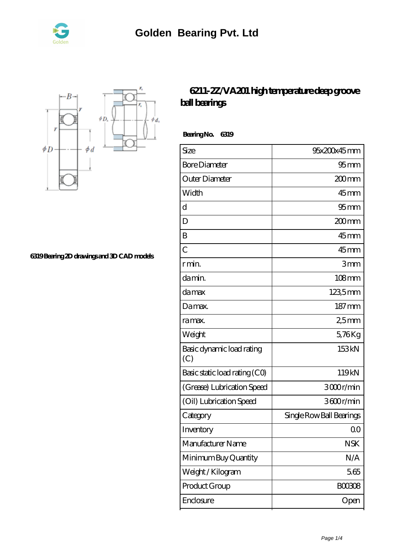



**[6319 Bearing 2D drawings and 3D CAD models](https://nrflci.com/pic-64670714.html)**

## **[6211-2Z/VA201 high temperature deep groove](https://nrflci.com/sale-64670714-6211-2z-va201-high-temperature-deep-groove-ball-bearings.html) [ball bearings](https://nrflci.com/sale-64670714-6211-2z-va201-high-temperature-deep-groove-ball-bearings.html)**

 **Bearing No. 6319**

| Size                             | 95x200x45mm              |
|----------------------------------|--------------------------|
| <b>Bore Diameter</b>             | $95 \text{mm}$           |
| Outer Diameter                   | 200mm                    |
| Width                            | $45$ mm                  |
| $\mathbf d$                      | $95$ mm                  |
| D                                | 200mm                    |
| B                                | $45$ mm                  |
| $\overline{C}$                   | $45$ mm                  |
| r min.                           | 3mm                      |
| damin.                           | $108$ mm                 |
| damax                            | 1235mm                   |
| Damax.                           | $187 \,\mathrm{mm}$      |
| ra max.                          | 25mm                     |
| Weight                           | 5,76Kg                   |
| Basic dynamic load rating<br>(C) | 153kN                    |
| Basic static load rating (CO)    | 119kN                    |
| (Grease) Lubrication Speed       | 3000r/min                |
| (Oil) Lubrication Speed          | 3600r/min                |
| Category                         | Single Row Ball Bearings |
| Inventory                        | Q0                       |
| Manufacturer Name                | <b>NSK</b>               |
| Minimum Buy Quantity             | N/A                      |
| Weight/Kilogram                  | 5.65                     |
| Product Group                    | <b>BOO3O8</b>            |
| Enclosure                        | Open                     |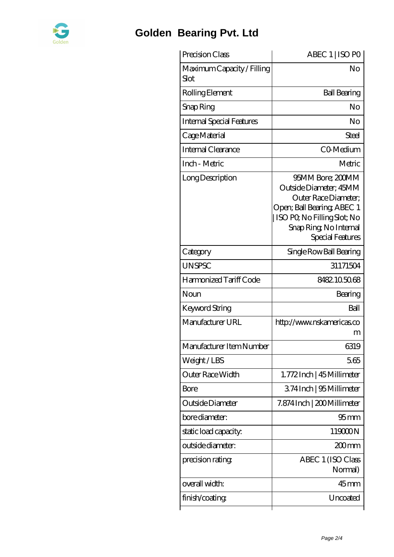

## **[Golden Bearing Pvt. Ltd](https://nrflci.com)**

| Precision Class                    | ABEC 1   ISO PO                                                                                                                                                              |
|------------------------------------|------------------------------------------------------------------------------------------------------------------------------------------------------------------------------|
| Maximum Capacity / Filling<br>Slot | No                                                                                                                                                                           |
| Rolling Element                    | <b>Ball Bearing</b>                                                                                                                                                          |
| Snap Ring                          | No                                                                                                                                                                           |
| <b>Internal Special Features</b>   | No                                                                                                                                                                           |
| Cage Material                      | Steel                                                                                                                                                                        |
| Internal Clearance                 | CO-Medium                                                                                                                                                                    |
| Inch - Metric                      | Metric                                                                                                                                                                       |
| Long Description                   | 95MM Bore; 200MM<br>Outside Diameter; 45MM<br>Outer Race Diameter;<br>Open; Ball Bearing; ABEC 1<br>ISO PQ No Filling Slot; No<br>Snap Ring, No Internal<br>Special Features |
| Category                           | Single Row Ball Bearing                                                                                                                                                      |
| <b>UNSPSC</b>                      | 31171504                                                                                                                                                                     |
| Harmonized Tariff Code             | 8482105068                                                                                                                                                                   |
| Noun                               | Bearing                                                                                                                                                                      |
| Keyword String                     | Ball                                                                                                                                                                         |
| Manufacturer URL                   | http://www.nskamericas.co<br>m                                                                                                                                               |
| Manufacturer Item Number           | 6319                                                                                                                                                                         |
| Weight/LBS                         | 5.65                                                                                                                                                                         |
| Outer Race Width                   | 1.772Inch   45 Millimeter                                                                                                                                                    |
| Bore                               | 374Inch   95 Millimeter                                                                                                                                                      |
| Outside Diameter                   | 7.874 Inch   200 Millimeter                                                                                                                                                  |
| bore diameter:                     | 95 <sub>mm</sub>                                                                                                                                                             |
| static load capacity.              | 119000N                                                                                                                                                                      |
| outside diameter:                  | 200mm                                                                                                                                                                        |
| precision rating                   | ABEC 1 (ISO Class<br>Normal)                                                                                                                                                 |
| overall width:                     | $45$ mm                                                                                                                                                                      |
| finish/coating                     | Uncoated                                                                                                                                                                     |
|                                    |                                                                                                                                                                              |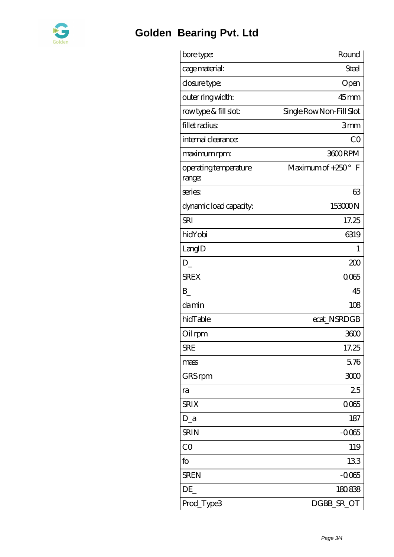

## **[Golden Bearing Pvt. Ltd](https://nrflci.com)**

| bore type:                      | Round                     |
|---------------------------------|---------------------------|
| cage material:                  | <b>Steel</b>              |
| closure type:                   | Open                      |
| outer ring width:               | $45$ mm                   |
| rowtype & fill slot:            | Single Row Non-Fill Slot  |
| fillet radius                   | 3mm                       |
| internal clearance:             | CO                        |
| maximum rpm:                    | 3600RPM                   |
| operating temperature<br>range: | Maximum of $+250^\circ$ F |
| series                          | 63                        |
| dynamic load capacity:          | 153000N                   |
| <b>SRI</b>                      | 17.25                     |
| hidYobi                         | 6319                      |
| LangID                          | 1                         |
| $D_{-}$                         | 200                       |
| <b>SREX</b>                     | 0065                      |
| B                               | 45                        |
| damin                           | 108                       |
| hidTable                        | ecat_NSRDGB               |
| Oil rpm                         | 3600                      |
| <b>SRE</b>                      | 17.25                     |
| mass                            | 5.76                      |
| GRS rpm                         | 3000                      |
| ra                              | 25                        |
| <b>SRIX</b>                     | 0065                      |
| $D_a$                           | 187                       |
| <b>SRIN</b>                     | $-0.065$                  |
| CO                              | 119                       |
| fo                              | 133                       |
| <b>SREN</b>                     | $-0.065$                  |
| DE_                             | 180838                    |
| Prod_Type3                      | DGBB_SR_OT                |